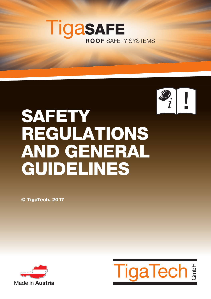



# **SAFETY** REGULATIONS AND GENERAL GUIDELINES

© TigaTech, 2017



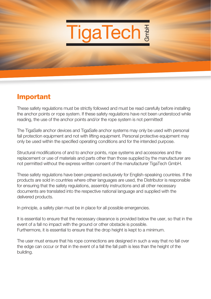

## Important

These safety regulations must be strictly followed and must be read carefully before installing the anchor points or rope system. If these safety regulations have not been understood while reading, the use of the anchor points and/or the rope system is not permitted!

The TigaSafe anchor devices and TigaSafe anchor systems may only be used with personal fall protection equipment and not with lifting equipment. Personal protective equipment may only be used within the specified operating conditions and for the intended purpose.

Structural modifications of and to anchor points, rope systems and accessories and the replacement or use of materials and parts other than those supplied by the manufacturer are not permitted without the express written consent of the manufacturer TigaTech GmbH.

These safety regulations have been prepared exclusively for English-speaking countries. If the products are sold in countries where other languages are used, the Distributor is responsible for ensuring that the safety regulations, assembly instructions and all other necessary documents are translated into the respective national language and supplied with the delivered products.

In principle, a safety plan must be in place for all possible emergencies.

It is essential to ensure that the necessary clearance is provided below the user, so that in the event of a fall no impact with the ground or other obstacle is possible. Furthermore, it is essential to ensure that the drop height is kept to a minimum.

The user must ensure that his rope connections are designed in such a way that no fall over the edge can occur or that in the event of a fall the fall path is less than the height of the building.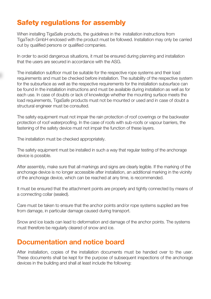# Safety regulations for assembly

When installing TigaSafe products, the guidelines in the installation instructions from TigaTech GmbH enclosed with the product must be followed. Installation may only be carried out by qualified persons or qualified companies.

In order to avoid dangerous situations, it must be ensured during planning and installation that the users are secured in accordance with the ASG.

The installation subfloor must be suitable for the respective rope systems and their load requirements and must be checked before installation. The suitability of the respective system for the subsurface as well as the respective requirements for the installation subsurface can be found in the installation instructions and must be available during installation as well as for each use. In case of doubts or lack of knowledge whether the mounting surface meets the load requirements, TigaSafe products must not be mounted or used and in case of doubt a structural engineer must be consulted.

The safety equipment must not impair the rain protection of roof coverings or the backwater protection of roof waterproofing. In the case of roofs with sub-roofs or vapour barriers, the fastening of the safety device must not impair the function of these layers.

The installation must be checked appropriately.

The safety equipment must be installed in such a way that regular testing of the anchorage device is possible.

After assembly, make sure that all markings and signs are clearly legible. If the marking of the anchorage device is no longer accessible after installation, an additional marking in the vicinity of the anchorage device, which can be reached at any time, is recommended.

It must be ensured that the attachment points are properly and tightly connected by means of a connecting collar (sealed).

Care must be taken to ensure that the anchor points and/or rope systems supplied are free from damage, in particular damage caused during transport.

Snow and ice loads can lead to deformation and damage of the anchor points. The systems must therefore be regularly cleared of snow and ice.

#### Documentation and notice board

After installation, copies of the installation documents must be handed over to the user. These documents shall be kept for the purpose of subsequent inspections of the anchorage devices in the building and shall at least include the following: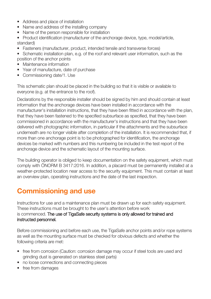- Address and place of installation
- Name and address of the installing company
- Name of the person responsible for installation
- Product identification (manufacturer of the anchorage device, type, model/article, standard)
- Fasteners (manufacturer, product, intended tensile and transverse forces)
- Schematic installation plan, e.g. of the roof and relevant user information, such as the position of the anchor points
- Maintenance information
- Year of manufacture, date of purchase
- Commissioning date/1. Use

This schematic plan should be placed in the building so that it is visible or available to everyone (e.g. at the entrance to the roof).

Declarations by the responsible installer should be signed by him and should contain at least information that the anchorage devices have been installed in accordance with the manufacturer's installation instructions, that they have been fitted in accordance with the plan, that they have been fastened to the specified subsurface as specified, that they have been commissioned in accordance with the manufacturer's instructions and that they have been delivered with photographic information, in particular if the attachments and the subsurface underneath are no longer visible after completion of the installation. It is recommended that, if more than one anchorage point is to be photographed for identification, the anchorage devices be marked with numbers and this numbering be included in the test report of the anchorage device and the schematic layout of the mounting surface.

The building operator is obliged to keep documentation on the safety equipment, which must comply with ÖNORM B 3417:2016. In addition, a placard must be permanently installed at a weather-protected location near access to the security equipment. This must contain at least an overview plan, operating instructions and the date of the last inspection.

## Commissioning and use

Instructions for use and a maintenance plan must be drawn up for each safety equipment. These instructions must be brought to the user's attention before work is commenced. The use of TigaSafe security systems is only allowed for trained and instructed personnel.

Before commissioning and before each use, the TigaSafe anchor points and/or rope systems as well as the mounting surface must be checked for obvious defects and whether the following criteria are met:

- free from corrosion (Caution: corrosion damage may occur if steel tools are used and grinding dust is generated on stainless steel parts)
- no loose connections and connecting pieces
- free from damages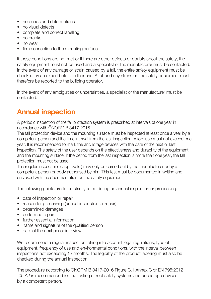- no bends and deformations
- no visual defects
- complete and correct labelling
- no cracks
- no wear
- firm connection to the mounting surface

If these conditions are not met or if there are other defects or doubts about the safety, the safety equipment must not be used and a specialist or the manufacturer must be contacted. In the event of any damage or strain caused by a fall, the entire safety equipment must be checked by an expert before further use. A fall and any stress on the safety equipment must therefore be reported to the building operator.

In the event of any ambiguities or uncertainties, a specialist or the manufacturer must be contacted.

# Annual inspection

A periodic inspection of the fall protection system is prescribed at intervals of one year in accordance with ÖNORM B 3417-2016.

The fall protection device and the mounting surface must be inspected at least once a year by a competent person and the time interval from the last inspection before use must not exceed one year. It is recommended to mark the anchorage devices with the date of the next or last inspection. The safety of the user depends on the effectiveness and durability of the equipment and the mounting surface. If the period from the last inspection is more than one year, the fall protection must not be used.

The regular inspections ( approvals ) may only be carried out by the manufacturer or by a competent person or body authorised by him. This test must be documented in writing and enclosed with the documentation on the safety equipment.

The following points are to be strictly listed during an annual inspection or processing:

- date of inspection or repair
- reason for processing (annual inspection or repair)
- determined damages
- performed repair
- further essential information
- name and signature of the qualified person
- date of the next periodic review

We recommend a regular inspection taking into account legal regulations, type of equipment, frequency of use and environmental conditions, with the interval between inspections not exceeding 12 months. The legibility of the product labelling must also be checked during the annual inspection.

The procedure according to ÖNORM B 3417-2016 Figure C.1 Annex C or EN 795:2012 -05 A2 is recommended for the testing of roof safety systems and anchorage devices by a competent person.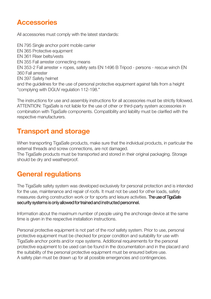## **Accessories**

All accessories must comply with the latest standards:

EN 795 Single anchor point mobile carrier EN 365 Protective equipment EN 361 Riser belts/vests EN 355 Fall arrester connecting means EN 353-2 Fall arrester + ropes, safety sets EN 1496 B Tripod - persons - rescue winch EN 360 Fall arrester EN 397 Safety helmet and the guidelines for the use of personal protective equipment against falls from a height "complying with DGUV regulation 112-198."

The instructions for use and assembly instructions for all accessories must be strictly followed. ATTENTION: TigaSafe is not liable for the use of other or third-party system accessories in combination with TigaSafe components. Compatibility and liability must be clarified with the respective manufacturers.

# Transport and storage

When transporting TigaSafe products, make sure that the individual products, in particular the external threads and screw connections, are not damaged.

The TigaSafe products must be transported and stored in their original packaging. Storage should be dry and weatherproof.

# General regulations

The TigaSafe safety system was developed exclusively for personal protection and is intended for the use, maintenance and repair of roofs. It must not be used for other loads, safety measures during construction work or for sports and leisure activities. **The use of TigaSafe** security systems is only allowed for trained and instructed personnel.

Information about the maximum number of people using the anchorage device at the same time is given in the respective installation instructions.

Personal protective equipment is not part of the roof safety system. Prior to use, personal protective equipment must be checked for proper condition and suitability for use with TigaSafe anchor points and/or rope systems. Additional requirements for the personal protective equipment to be used can be found in the documentation and in the placard and the suitability of the personal protective equipment must be ensured before use. A safety plan must be drawn up for all possible emergencies and contingencies.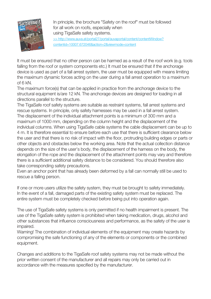

In principle, the brochure "Safety on the roof" must be followed for all work on roofs, especially when using TigaSafe safety systems. >> http://www.auva.at/portal27/portal/auvaportal/content/contentWindow? contentid=10007.672046&action=2&viewmode=content

It must be ensured that no other person can be harmed as a result of the roof work (e.g. tools falling from the roof or system components etc.) It must be ensured that if the anchorage device is used as part of a fall arrest system, the user must be equipped with means limiting the maximum dynamic forces acting on the user during a fall arrest operation to a maximum of 6 kN.

The maximum force(s) that can be applied in practice from the anchorage device to the structural equipment is/are 12 kN. The anchorage devices are designed for loading in all directions parallel to the structure.

The TigaSafe roof safety systems are suitable as restraint systems, fall arrest systems and rescue systems. In principle, only safety harnesses may be used in a fall arrest system. The displacement of the individual attachment points is a minimum of 300 mm and a maximum of 1000 mm, depending on the column height and the displacement of the individual columns. When using TigaSafe cable systems the cable displacement can be up to 4 m. It is therefore essential to ensure before each use that there is sufficient clearance below the user and that there is no risk of impact with the floor, protruding building edges or parts or other objects and obstacles below the working area. Note that the actual collection distance depends on the size of the user's body, the displacement of the harness on the body, the elongation of the rope and the displacement of the attachment points may vary and therefore there is a sufficient additional safety distance to be considered. You should therefore also take corresponding safety precautions.

Even an anchor point that has already been deformed by a fall can normally still be used to rescue a falling person.

If one or more users utilize the safety system, they must be brought to safety immediately. In the event of a fall, damaged parts of the existing safety system must be replaced. The entire system must be completely checked before being put into operation again.

The use of TigaSafe safety systems is only permitted if no health impairment is present. The use of the TigaSafe safety system is prohibited when taking medication, drugs, alcohol and other substances that influence consciousness and performance, as the safety of the user is impaired.

Warning! The combination of individual elements of the equipment may create hazards by compromising the safe functioning of any of the elements or components or the combined equipment.

Changes and additions to the TigaSafe roof safety systems may not be made without the prior written consent of the manufacturer and all repairs may only be carried out in accordance with the measures specified by the manufacturer.